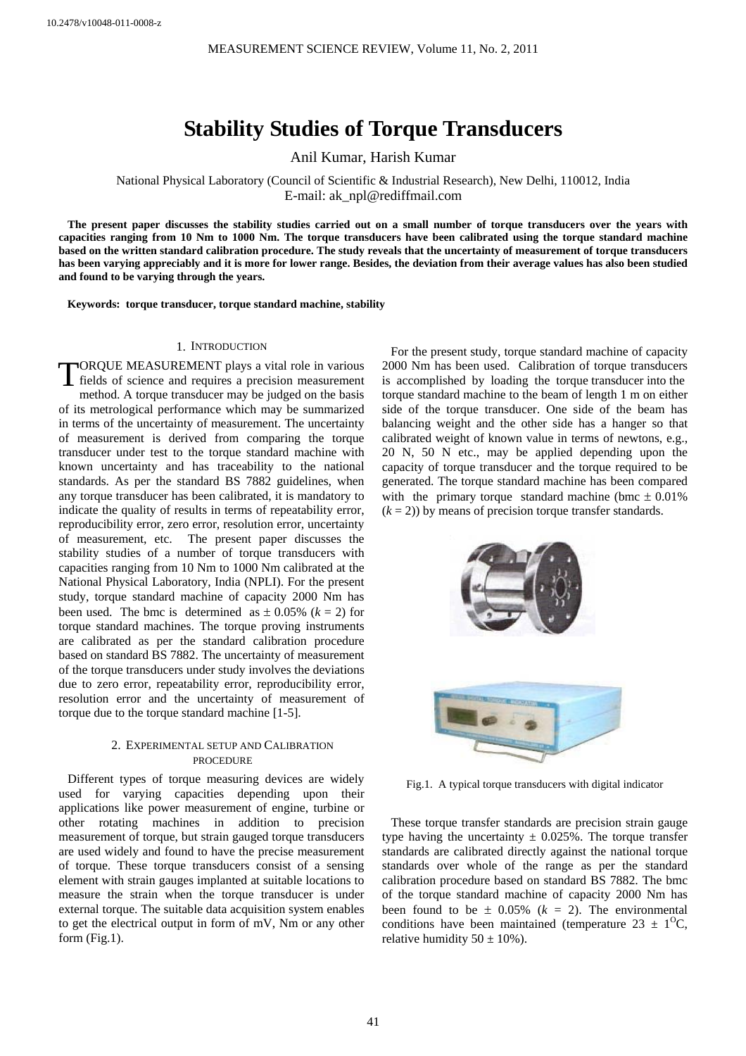# **Stability Studies of Torque Transducers**

Anil Kumar, Harish Kumar

National Physical Laboratory (Council of Scientific & Industrial Research), New Delhi, 110012, India E-mail: ak\_npl@rediffmail.com

**The present paper discusses the stability studies carried out on a small number of torque transducers over the years with capacities ranging from 10 Nm to 1000 Nm. The torque transducers have been calibrated using the torque standard machine based on the written standard calibration procedure. The study reveals that the uncertainty of measurement of torque transducers has been varying appreciably and it is more for lower range. Besides, the deviation from their average values has also been studied and found to be varying through the years.** 

**Keywords: torque transducer, torque standard machine, stability** 

#### 1. INTRODUCTION

TORQUE MEASUREMENT plays a vital role in various<br>fields of science and requires a precision measurement fiel ds of science and requires a precision measurement m ethod. A torque transducer may be judged on the basis of its metrological performance which may be summarized in terms of the uncertainty of measurement. The uncertainty of measurement is derived from comparing the torque transducer under test to the torque standard machine with known uncertainty and has traceability to the national standards. As per the standard BS 7882 guidelines, when any torque transducer has been calibrated, it is mandatory to indicate the quality of results in terms of repeatability error, reproducibility error, zero error, resolution error, uncertainty of measurement, etc. The present paper discusses the stability studies of a number of torque transducers with capacities ranging from 10 Nm to 1000 Nm calibrated at the National Physical Laboratory, India (NPLI). For the present study, torque standard machine of capacity 2000 Nm has been used. The bmc is determined as  $\pm$  0.05% ( $k = 2$ ) for torque standard machines. The torque proving instruments are calibrated as per the standard calibration procedure based on standard BS 7882. The uncertainty of measurement of the torque transducers under study involves the deviations due to zero error, repeatability error, reproducibility error, resolution error and the uncertainty of measurement of torque due to the torque standard machine [1-5].

## 2. EXPERIMENTAL SETUP AND CALIBRATION PROCEDURE

Different types of torque measuring devices are widely used for varying capacities depending upon their applications like power measurement of engine, turbine or other rotating machines in addition to precision measurement of torque, but strain gauged torque transducers are used widely and found to have the precise measurement of torque. These torque transducers consist of a sensing element with strain gauges implanted at suitable locations to measure the strain when the torque transducer is under external torque. The suitable data acquisition system enables to get the electrical output in form of mV, Nm or any other form (Fig.1).

For the present study, torque standard machine of capacity 2000 Nm has been used. Calibration of torque transducers is accomplished by loading the torque transducer into the torque standard machine to the beam of length 1 m on either side of the torque transducer. One side of the beam has balancing weight and the other side has a hanger so that calibrated weight of known value in terms of newtons, e.g., 20 N, 50 N etc., may be applied depending upon the capacity of torque transducer and the torque required to be generated. The torque standard machine has been compared with the primary torque standard machine (bmc  $\pm 0.01\%$ )  $(k = 2)$ ) by means of precision torque transfer standards.



Fig.1. A typical torque transducers with digital indicator

These torque transfer standards are precision strain gauge type having the uncertainty  $\pm$  0.025%. The torque transfer standards are calibrated directly against the national torque standards over whole of the range as per the standard calibration procedure based on standard BS 7882. The bmc of the torque standard machine of capacity 2000 Nm has been found to be  $\pm$  0.05% ( $k = 2$ ). The environmental conditions have been maintained (temperature  $23 \pm 1^0C$ , relative humidity  $50 \pm 10\%$ ).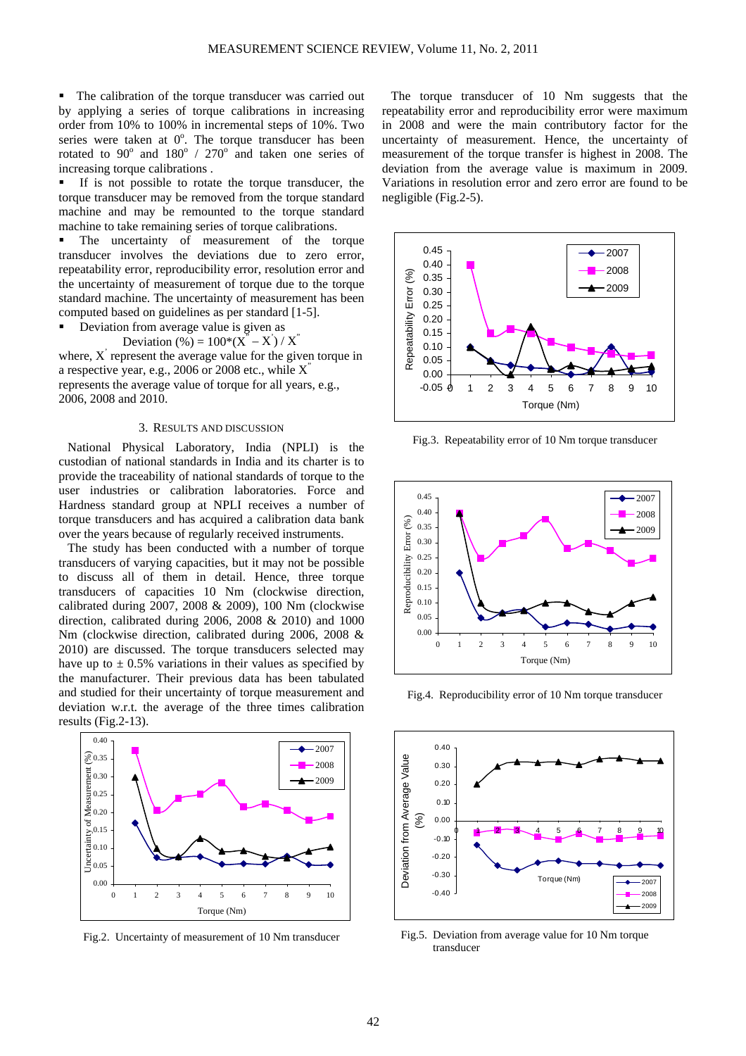The calibration of the torque transducer was carried out by applying a series of torque calibrations in increasing order from 10% to 100% in incremental steps of 10%. Two series were taken at  $0^\circ$ . The torque transducer has been rotated to  $90^{\circ}$  and  $180^{\circ}$  /  $270^{\circ}$  and taken one series of increasing torque calibrations .

 If is not possible to rotate the torque transducer, the torque transducer may be removed from the torque standard machine and may be remounted to the torque standard machine to take remaining series of torque calibrations.

 The uncertainty of measurement of the torque transducer involves the deviations due to zero error, repeatability error, reproducibility error, resolution error and the uncertainty of measurement of torque due to the torque standard machine. The uncertainty of measurement has been computed based on guidelines as per standard [1-5].

Deviation from average value is given as

Deviation  $(\% ) = 100*(\overline{X}^n - \overline{X}) / \overline{X}^n$ 

where,  $X'$  represent the average value for the given torque in a respective year, e.g., 2006 or 2008 etc., while  $X'$ represents the average value of torque for all years, e.g.,

2006, 2008 and 2010.

#### 3. RESULTS AND DISCUSSION

National Physical Laboratory, India (NPLI) is the custodian of national standards in India and its charter is to provide the traceability of national standards of torque to the user industries or calibration laboratories. Force and Hardness standard group at NPLI receives a number of torque transducers and has acquired a calibration data bank over the years because of regularly received instruments.

The study has been conducted with a number of torque transducers of varying capacities, but it may not be possible to discuss all of them in detail. Hence, three torque transducers of capacities 10 Nm (clockwise direction, calibrated during 2007, 2008 & 2009), 100 Nm (clockwise direction, calibrated during 2006, 2008 & 2010) and 1000 Nm (clockwise direction, calibrated during 2006, 2008 & 2010) are discussed. The torque transducers selected may have up to  $\pm$  0.5% variations in their values as specified by the manufacturer. Their previous data has been tabulated and studied for their uncertainty of torque measurement and deviation w.r.t. the average of the three times calibration results (Fig.2-13).



Fig.2. Uncertainty of measurement of 10 Nm transducer

The torque transducer of 10 Nm suggests that the repeatability error and reproducibility error were maximum in 2008 and were the main contributory factor for the uncertainty of measurement. Hence, the uncertainty of measurement of the torque transfer is highest in 2008. The deviation from the average value is maximum in 2009. Variations in resolution error and zero error are found to be negligible (Fig.2-5).



Fig.3. Repeatability error of 10 Nm torque transducer



Fig.4. Reproducibility error of 10 Nm torque transducer



 Fig.5. Deviation from average value for 10 Nm torque transducer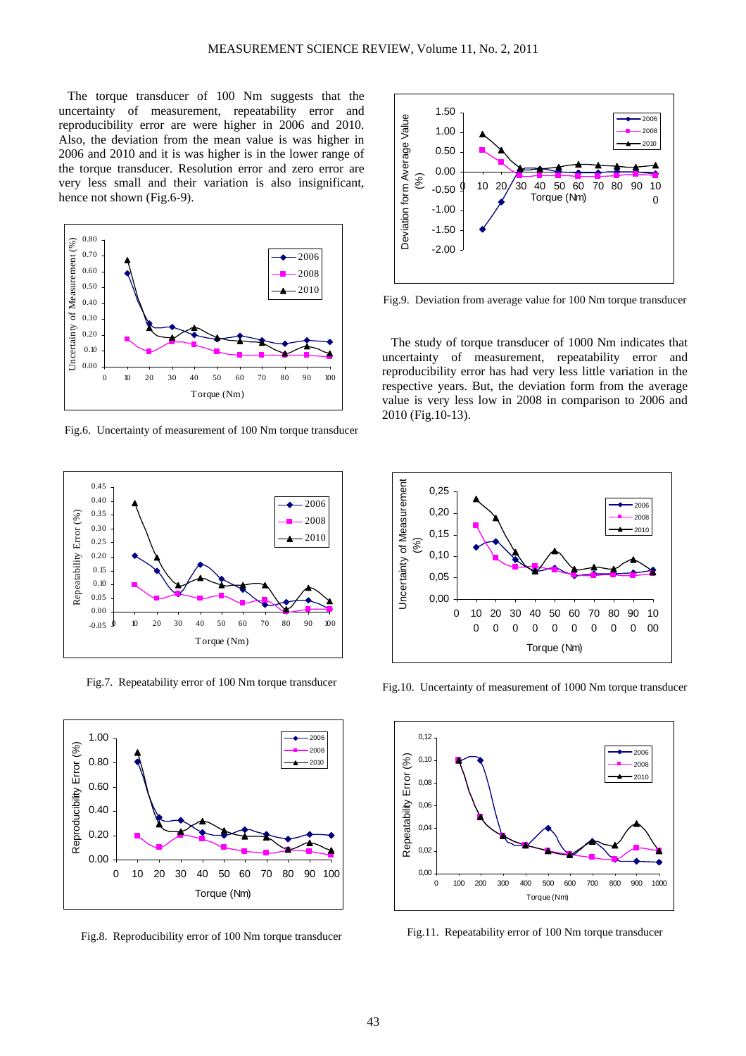The torque transducer of 100 Nm suggests that the uncertainty of measurement, repeatability error and reproducibility error are were higher in 2006 and 2010. Also, the deviation from the mean value is was higher in 2006 and 2010 and it is was higher is in the lower range of the torque transducer. Resolution error and zero error are very less small and their variation is also insignificant, hence not shown (Fig.6-9).



Fig.6. Uncertainty of measurement of 100 Nm torque transducer



Fig.7. Repeatability error of 100 Nm torque transducer



Fig.8. Reproducibility error of 100 Nm torque transducer



Fig.9. Deviation from average value for 100 Nm torque transducer

The study of torque transducer of 1000 Nm indicates that uncertainty of measurement, repeatability error and reproducibility error has had very less little variation in the respective years. But, the deviation form from the average value is very less low in 2008 in comparison to 2006 and 2010 (Fig.10-13).



Fig.10. Uncertainty of measurement of 1000 Nm torque transducer



Fig.11. Repeatability error of 100 Nm torque transducer